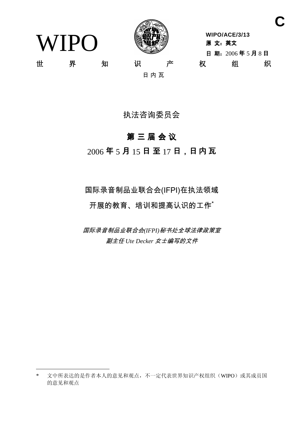WIPO



**WIPO/ACE/3/13** 原 文: 英文 日 期: 2006年5月8日 世 界 知 识 产 权 组 织

日内瓦

执法咨询委员会

# 第三届会议

 $2006$ 年5月15日至17日,日内瓦

国际录音制品业联合会(IFPI)在执法领域 开展的教育、培训和提高认识的工作\*

*国际录音制品业联合会(IFPI)秘书处全球法律政策室* 副主任 Ute Decker 女士编写的文件

**C**

<sup>\*</sup> 文中所表达的是作者本人的意见和观点,不一定代表世界知识产权组织(WIPO)或其成员国 的意见和观点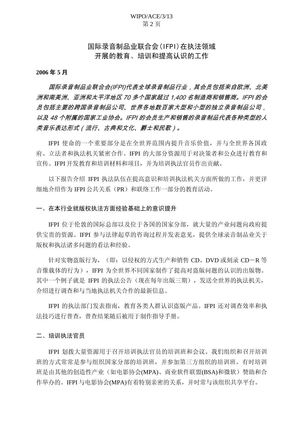## WIPO/ACE/3/13 第2页

# 国际录音制品业联合会(IFPI)在执法领域 开展的教育、培训和提高认识的工作

#### **2006** ᑈ **5** ᳜

国际录音制品业联合会(IFPI)代表全球录音制品行业,其会员包括来自欧洲、北美 洲和南美洲、亚洲和太平洋地区 70 多个国家超过 1,400 名制造商和销售商。IFPI 的会 员包括主要的跨国录音制品公司、世界各地数百家大型和小型的独立录音制品公司, 以及 48 个附属的国家工业协会。IFPI 的会员生产和销售的录音制品代表各种类型的人 类音乐表达形式(流行、古典和文化、爵士和民歌)。

IFPI 使命的一个重要部分是在全世界范围内提升音乐价值, 并与全世界各国政 府、立法者和执法机关紧密合作。IFPI 的大部分资源用于对决策者和公众进行教育和 宣传。IFPI 开发教育和培训材料和项目, 并为培训执法官员作出贡献。

以下报告介绍 IFPI 执法队伍在提高意识和培训执法机关方面所做的工作, 并更详 细地介绍作为 IFPI 公共关系(PR) 和联络工作一部分的教育活动。

一、在本行业就版权执法方面经验基础上的意识提升

IFPI 位于伦敦的国际总部以及位于各国的国家分部,就大量的产业问题向政府提 供宝贵的资源。IFPI 参与法律起草的咨询过程并发表意见, 提供全球录音制品业关于 版权和执法诸多问题的看法和经验。

针对实物盗版行为, (即: 以侵权的方式生产和销售 CD、DVD 或刻录 CD-R 等 音像载体的行为), IFPI 为全世界不同国家制作了提高对盗版问题的认识的出版物。 其中一个例子就是 IFPI 的执法公告(现在每年出版三期), 发送全世界的执法机关, 介绍进行调查和与当地执法机关合作的最新信息。

IFPI 的执法部门发表指南, 教育各类人群认识盗版产品。IFPI 还对调杳效率和执 法技巧讲行普杳, 普查结果随后被用于制作指导手册。

二、培训执法官员

IFPI 划拨大量资源用于召开培训执法官员的培训班和会议。我们组织和召开培训 班的方式常常是参与组织国家分部的培训班,并参加第三方组织的培训班。有时培训 班是由其他的创造性产业(如电影协会(MPA)、商业软件联盟(BSA)和微软)赞助和合 作举办的。IFPI 与电影协会(MPA)有着特别亲密的关系,并时常与该组织共享平台。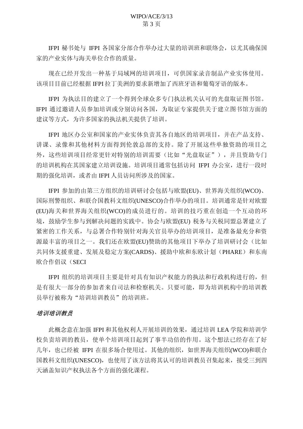IFPI 秘书处与 IFPI 各国家分部合作举办过大量的培训班和联络会, 以尤其确保国 家的产业实体与海关单位合作的质量。

现在已经开发出一种基于局域网的培训项目,可供国家录音制品产业实体使用。 该项目目前已经根据 IFPI 拉丁美洲的要求新增加了西班牙语和葡萄牙语的版本。

IFPI 为执法目的建立了一个得到全球众多专门执法机关认可的光盘取证图书馆。 IFPI 通过邀请人员参加培训或分别访问各国, 为取证专家提供关于建立图书馆方面的 建议等方式,为许多国家的执法机关提供了培训。

IFPI 地区办公室和国家的产业实体负责其各自地区的培训项目, 并在产品支持、 讲课、录像和其他材料方面得到伦敦总部的支持。除了开展这些单独资助的项目之 外,这些培训项目经常更针对特别的培训需要(比如"光盘取证"),并且资助专门 的培训机构在其国家建立培训设施。培训项目通常包括访问 IFPI 办公室, 讲行一段时 期的强化培训, 或者由 IFPI 人员访问所涉及的国家。

IFPI 参加的由第三方组织的培训研讨会包括与欧盟(EU)、世界海关组织(WCO)、 国际刑警组织、和联合国教科文组织(UNESCO)合作举办的项目。培训通常是针对欧盟 (EU)海关和世界海关组织(WCO)的成员进行的。培训的技巧重在创造一个互动的环 境, 鼓励学生参与到解决问题的实践中。协会与欧盟(EU) 税务与关税同盟总署建立了 紧密的工作关系, 与总署合作特别针对海关官员举办的培训项目, 是准备最充分和资 源最丰富的项目之一。我们还在欧盟(EU)赞助的其他项目下举办了培训研讨会(比如 共同体支援重建、发展及稳定方案(CARDS)、援助中欧和东欧计划(PHARE)和东南 欧合作倡议(SECI

IFPI 组织的培训项目主要是针对具有知识产权能力的执法和行政机构讲行的, 但 是有很大一部分的参加者来自司法和检察机关。只要可能,即为培训机构中的培训教 员举行被称为"培训培训教员"的培训班。

## 培训培训教员

此概念意在加强 IFPI 和其他权利人开展培训的效果, 通过培训 LEA 学院和培训学 校负责培训的教员, 使单个培训项目起到了事半功倍的作用。这个想法已经存在了好 几年, 也已经被 IFPI 在很多场合使用过。其他的组织, 如世界海关组织(WCO)和联合 国教科文组织(UNESCO), 也使用了该方法将其认可的培训教员召集起来, 接受三到四 天涵盖知识产权执法各个方面的强化课程。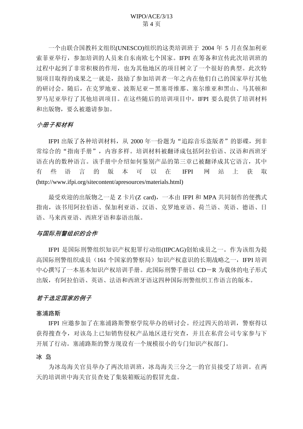## WIPO/ACE/3/13 第4页

一个由联合国教科文组织(UNESCO)组织的这类培训班于 2004 年 5 月在保加利亚 索菲亚举行, 参加培训的人员来自东南欧七个国家。IFPI 在筹备和宣传此次培训班的 过程中起到了非常积极的作用, 也为其他地区的项目树立了一个很好的典型。此次特 别项目取得的成果之一就是, 鼓励了参加培训者一年之内在他们自己的国家举行其他 的研讨会。随后, 在克罗地亚、波斯尼亚一黑塞哥维那、塞尔维亚和黑山、马其顿和 罗马尼亚举行了其他培训项目。在这些随后的培训项目中, IFPI 要么提供了培训材料 和出版物, 要么被邀请参加。

#### 小册子和材料

IFPI 出版了各种培训材料, 从 2000 年一份题为"追踪音乐盗版者"的影碟, 到非 常综合的"指南手册", 内容多样。培训材料被翻译成包括阿拉伯语、汉语和西班牙 语在内的数种语言。该手册中介绍如何鉴别产品的第三章已被翻译成其它语言,其中 有些语言的版本可以在 IFPI 网站上获取 (http://www.ifpi.org/sitecontent/apresources/materials.html)

最受欢迎的出版物之一是 Z 卡片(Z card), 一本由 IFPI 和 MPA 共同制作的便携式 指南,该书用阿拉伯语、保加利亚语、汉语、克罗地亚语、荷兰语、英语、德语、日 语、马来西亚语、西班牙语和泰语出版。

## 与国际刑警组织的合作

IFPI 是国际刑警组织知识产权犯罪行动组(IIPCAG)创始成员之一。作为该组为提 高国际刑警组织成员(161 个国家的警察局) 知识产权意识的长期战略之一, IFPI 培训 中心撰写了一本基本知识产权培训手册。此国际刑警手册以 CD-R 为载体的电子形式 出版,有阿拉伯语、英语、法语和西班牙语这四种国际刑警组织工作语言的版本。

## 若干选定国家的例子

#### 寒浦路斯

IFPI 应邀参加了在塞浦路斯警察学院举办的研讨会。经过四天的培训, 警察得以 获得搜查令, 对该岛上已知销售侵权产品地区进行突查, 并且在私营公司专家参与下 开展了行动。塞浦路斯的警方现设有一个规模很小的专门知识产权部门。

冰 岛

为冰岛海关官员举办了两次培训班, 冰岛海关三分之一的官员接受了培训。在两 天的培训班中海关官员杳处了集装箱贩运的假冒光盘。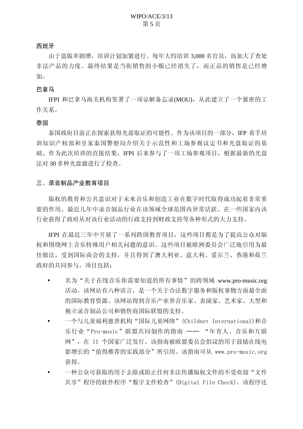#### 西班牙

由于盗版率剧增, 培训计划加紧进行。每年大约培训 3,000 名官员, 而加大了杳处 非法产品的力度。最终结果是当街销售的小贩已经消失了,而正品的销售是已经增 加。

#### 巴拿马

IFPI 和巴拿马海关机构签署了一项谅解备忘录(MOU), 从此建立了一个紧密的工 作关系。

#### 泰国

泰国政府目前正在探索获得光盘取证的可能性。作为该项目的一部分, IFP 着手培 训知识产权部和皇家泰国警察局介绍关于示范性和工场参观议定书和光盘取证的基 础。作为此次培训的直接结果, IFPI 后来参与了一项工场参观项目, 根据最新的光盘 法对 30 多种光盘源进行了检查。

#### 三、录音制品产业教育项目

版权的教育和公共意识对于未来音乐和创造工业在数字时代取得成功起着非常重 要的作用。最近几年中录音制品行业在该领域全球范围内异常活跃。在一些国家内该 行业获得了政府从对该行业活动的行政支持到财政支持等各种形式的大力支持。

IFPI 在最近三年中开展了一系列跨国教育项目, 这些项目都是为了提高公众对版 权和围绕网上音乐特殊用户相关问题的意识。这些项目被欧洲委员会广泛地引用为最 佳做法, 受到国际商会的支持, 并且得到了澳大利亚、意大利、爱尔兰、香港和荷兰 政府的共同参与。项目包括:

- 名为"关于在线音乐你需要知道的所有事情"的跨领域 www.pro-music.org 活动。该网站有六种语言, 是一个关于合法数字服务和版权事物方面最全面 的国际教育资源。该网站得到音乐产业界音乐家、表演家、艺术家、大型和 独立录音制品公司和销售商国际联盟的支持。
- 一个与儿童福利慈善机构"国际儿童网络" (Childnet International)和音 乐行业"Pro-music"联盟共同制作的指南 -- "年青人、音乐和互联 网", 在 11 个国家广泛发行。该指南被欧盟委员会倡议的用于鼓励在线电 影增长的"值得推荐的实践部分"所引用。该指南可从 www.pro-music.org 获得。
- 一种公众可获取的用于去除或阻止任何非法传播版权文件的不受欢迎"文件 共享"程序的软件程序"数字文件检查"(Digital File Check)。该程序还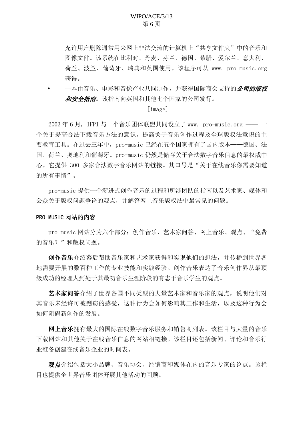充许用户删除通常用来网上非法交流的计算机上"共享文件夹"中的音乐和 图像文件。该系统在比利时、丹麦、芬兰、德国、希腊、爱尔兰、意大利、 荷兰、波兰、葡萄牙、瑞典和英国使用。该程序可从 www. pro-music.org 获得。

一本由音乐、电影和音像产业共同制作, 并获得国际商会支持的*公司的版权* 和安全指南。该指南向英国和其他七个国家的公司发行。

#### $[image]$

2003年6月, IFPI 与一个音乐团体联盟共同设立了 www. pro-music.org -个关于提高合法下载音乐方法的意识, 提高关于音乐创作过程及全球版权法意识的主 要教育工具。在过去三年中, pro-music 已经在五个国家拥有了国内版本——德国、法 国、荷兰、奥地利和葡萄牙。pro-music 仍然是储存关于合法数字音乐信息的最权威中 心。它提供 300 多家合法数字音乐网站的链接。其口号是"关于在线音乐你需要知道 的所有事情"。

pro-music 提供一个渐进式创作音乐的过程和所涉团队的指南以及艺术家、媒体和 公众关于版权问题争论的观点,并解答网上音乐版权法中最常见的问题。

#### PRO-MUSIC 网站的内容

pro-music 网站分为六个部分: 创作音乐、艺术家问答、网上音乐、观点、"免费 的音乐?"和版权问题。

创作音乐幻幕后帮助音乐家和艺术家获得和实现他们的想法,并传播到世界各 地需要开展的数百种工作的专业技能和实践经验。创作音乐表达了音乐创作界从最顶 级成功的经理人到处于其最初音乐生涯阶段的有志于音乐学生的观点。

艺术家问答介绍了世界各国不同类型的大量艺术家和音乐家的观点,说明他们对 其音乐未经许可被剽窃的感受, 这种行为会如何影响其工作和生活, 以及这种行为会 如何阻碍新创作的发展。

网上音乐拥有最大的国际在线数字音乐服务和销售商列表。该栏目与大量的音乐 下载网站和其他关于在线音乐信息的网站相链接。该栏目还包括新闻、评论和音乐行 业准备创建在线音乐企业的时间表。

观点介绍包括大小品牌、音乐协会、经销商和媒体在内的音乐专家的论点。该栏 目也提供全世界音乐团体开展其他活动的回顾。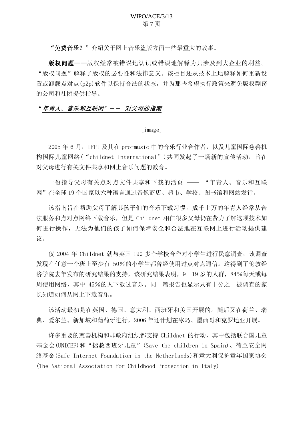## WIPO/ACE/3/13 第7页

"免费音乐?"介绍关于网上音乐盗版方面一些最重大的故事。

版权问题——版权经常被错误地认识或错误地解释为只涉及到大企业的利益。 "版权问题"解释了版权的必要性和法律意义。该栏目还从技术上地解释如何重新设 置或卸载点对点(p2p)软件以保持合法的状态,并为那些希望执行政策来避免版权剽窃 的公司和社团提供指导。

#### "年青人、音乐和互联网"-- 对父母的指南

[image]

2005年6月, IFPI 及其在 pro-music 中的音乐行业合作者, 以及儿童国际慈善机 构国际儿童网络("childnet International")共同发起了一场新的宣传活动, 旨在 对父母进行有关文件共享和网上音乐问题的教育。

一份指导父母有关点对点文件共享和下载的活页 -- "年青人、音乐和互联 网"在全球19个国家以六种语言通过音像商店、超市、学校、图书馆和网站发行。

该指南旨在帮助父母了解其孩子们的音乐下载习惯。成千上万的年青人经常从合 法服务和点对点网络下载音乐, 但是 Childnet 相信很多父母仍在费力了解这项技术如 何进行操作,无法为他们的孩子如何保障安全和合法地在互联网上进行活动提供建 议。

仅 2004 年 Childnet 就与英国 190 多个学校合作对小学生讲行民意调杳, 该调杳 发现在任意一个班上至少有 50%的小学生都曾经使用过点对点通信。这得到了伦敦经 济学院去年发布的研究结果的支持,该研究结果表明, 9-19 岁的人群, 84%每天或每 周使用网络, 其中 45%的人下载过音乐。同一篇报告也显示只有十分之一被调查的家 长知道如何从网上下载音乐。

该活动最初是在英国、德国、意大利、西班牙和美国开展的。随后又在荷兰、瑞 典、爱尔兰、新加坡和葡萄牙进行, 2006年还计划在冰岛、墨西哥和克罗地亚开展。

许多重要的慈善机构和非政府组织都支持 Childnet 的行动, 其中包括联合国儿童 基金会(UNICEF)和"拯救西班牙儿童"(Save the children in Spain)、荷兰安全网 络基金(Safe Internet Foundation in the Netherlands)和意大利保护童年国家协会 (The National Association for Childhood Protection in Italy)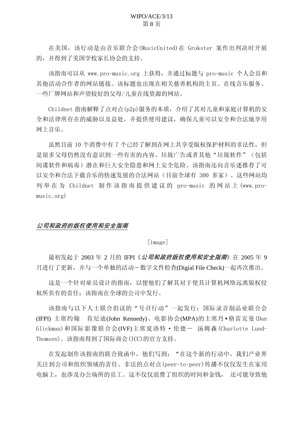在美国, 该行动是由音乐联合会(MusicUnited)在 Grokster 案作出判决时开展 的,并得到了美国学校家长协会的支持。

该指南可以从 www.pro-music.org 上获得, 并通过标题与 pro-music 个人会员和 其他活动合作者的网站链接。该标题也出现在相关慈善机构的主页、在线音乐服务、 一些厂牌网站和声望较好的父母/儿童在线资源的网站。

 $Chil$ dnet 指南解释了点对点 $(h2n)$ 服务的本质, 介绍了其对儿童和家庭计算机的安 全和法律所存在的威胁以及益处,并提供使用建议,确保儿童可以安全和合法地享用 网上音乐。

虽然目前 10 个消费中有 7 个已经了解到在网上共享受版权保护材料的非法性, 但 是很多父母仍然没有意识到一些有害的内容、垃圾广告或者其他"垃圾软件"(包括 间谍软件和病毒)潜在和巨大安全隐患和网上安全危险。该指南还向音乐迷推荐了可 以安全和合法下载音乐的快速发展的合法网站(目前全球有 300 多家)。这些网站均 列举在为 Childnet 制作该指南提供建议的 pro-music 的网站上 (www.pro $music.org)$ 

## 公司和政府的版权使用和安全指南

 $\lceil$ image $\rceil$ 

最初发起于 2003 年 2 月的 IFPI《*公司和政府版权使用和安全指南*》在 2005 年 9 月进行了更新, 并与一个单独的活动一数字文件检查(Digial File Check)一起再次推出。

这是一个针对雇员设计的指南,以便他们了解其对于使其计算机网络远离版权侵 权所负有的责任: 该指南在全球的公司中发行。

该指南与以下人士联合倡议的"号召行动"一起发行: 国际录音制品业联合会 (IFPI) 主席约翰 肯尼迪(John Kennedy)、电影协会(MPA)的主席丹•格雷克曼(Dan Glickman)和国际影像联合会(IVF)主席夏洛特·伦德- 汤姆森(Charlotte Lund-Thomsen)。该指南得到了国际商会(ICC)的官方支持。

在发起制作该指南的联合致函中, 他们写到: "在这个新的行动中, 我们产业界 关注到公司和组织领域的责任。非法的点对点(peer-to-peer)传播不仅仅发生在家用 电脑上, 也涉及办公场所的员工。这不仅仅浪费了组织的时间和金钱, 还可能导致他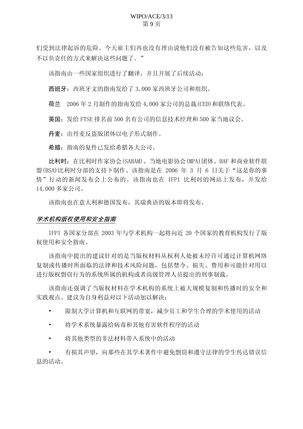## WIPO/ACE/3/13 第9页

们受到法律起诉的危险。今天雇主们再也没有理由说他们没有被告知这些危害,以及 不以负责任的方式来解决这些问题了。"

该指南由一些国家组织进行了翻译,并且开展了后续活动:

西班牙: 西班牙文的指南发给了 3,000 家西班牙公司和组织。

荷兰 2006年2月制作的指南发给 4,000 家公司的总裁(CED)和联络代表。

英国: 发给 FTSE 排名前 500 名有公司的信息技术经理和 500 家当地议会。

丹麦: 由丹麦反盗版团体以电子形式制作。

希腊: 指南的复件已发给希腊各大公司。

比利时: 在比利时作家协会(SABAM)、当地电影协会(MPA)团体、BAF 和商业软件联 盟 (BSA) 比利时分部的支持下制作。该指南是在 2006 年 3 月 6 日关于"这是你的事 情"行动的新闻发布会上公布的。该指南也在 IFPI 比利时的网站上发布, 并发给 14.000 多家公司。

该指南也在意大利和德国发布, 其瑞典语的版本即将发布。

#### 学术机构版权使用和安全指南

IFPI 各国家分部在 2003 年与学术机构一起将向近 20 个国家的教育机构发行了版 权使用和安全指南。

该指南中提出的建议针对的是当版权材料从权利人处被未经许可通过计算机网络 复制或传播时所面临的法律和技术风险问题, 包括禁令、损失、费用和可能针对用以 进行版权剽窃行为的系统所属的机构或者高级管理人员提出的刑事制裁。

该指南还强调了当版权材料在学术机构的系统上被大规模复制和传播时的安全和 实践观点。建议为自身利益对以下活动加以解决:

限制大学计算机和互联网的带宽,减少员工和学生合理的学术使用的活动

将学术系统暴露给病毒和其他有害软件程序的活动

将其他类型的非法材料带入系统中的活动

有损其声望, 向那些在其学术著作中避免剽窃和遵守法律的学生传达错误信 息的活动。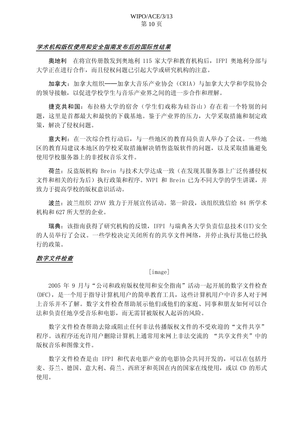## WIPO/ACE/3/13 第10页

#### 学术机构版权使用和安全指南发布后的国际性结果

奧地利 在将官传册散发到奥地利 115 家大学和教育机构后, IFPI 奥地利分部与 大学正在讲行合作,而且侵权问题已引起大学或研究机构的注意。

加拿大: 加拿大组织——加拿大音乐产业协会 (CRIA) 与加拿大大学和学院协会 的领导接触,以促进学校学生与音乐产业界之间的进一步合作和理解。

捷克共和国: 布拉格大学的宿舍(学生们戏称为硅谷山) 存在着一个特别的问 题, 这里是首都最大和最快的下载基地。鉴于产业界的压力, 大学采取措施和制定政 策,解决了侵权问题。

意大利: 在一次综合性行动后, 与一些地区的教育局负责人举办了会议。一些地 区的教育局建议本地区的学校采取措施解决销售盗版软件的问题,以及采取措施避免 使用学校服务器上的非授权音乐文件。

荷兰: 反盗版机构 Brein 与技术大学达成一致(在发现其服务器上广泛传播侵权 文件和相关的行为后)执行政策和程序。NVPI 和 Brein 已为不同大学的学生讲课,并 致力于提高学校的版权意识活动。

波兰: 波兰组织 ZPAV 致力于开展宣传活动。第一阶段, 该组织致信给 84 所学术 机构和 627 所大型的企业。

瑞典: 该指南获得了研究机构的反馈, IFPI 与瑞典各大学负责信息技术(IT)安全 的人员举行了会议。一些学校决定关闭所有的共享文件网络,并停止执行其他已经执 行的政策。

#### 数字文件检查

#### $\lceil$ image $\rceil$

2005 年 9 月与"公司和政府版权使用和安全指南"活动一起开展的数字文件检查 (DFC), 是一个用于指导计算机用户的简单教育工具, 这些计算机用户中许多人对于网 上音乐并不了解。数字文件检查帮助展示他们或他们的家庭、同事和朋友如何可以合 法和负责任地享受音乐和电影,而无需冒被版权人起诉的风险。

数字文件检查帮助夫除或阻止任何非法传播版权文件的不受欢迎的"文件共享" 程序。该程序还充许用户删除计算机上通常用来网上非法交流的 "共享文件夹"中的 版权音乐和图像文件。

数字文件检查是由 IFPI 和代表电影产业的电影协会共同开发的, 可以在包括丹 麦、芬兰、德国、意大利、荷兰、西班牙和英国在内的国家在线使用, 或以 CD 的形式 使用。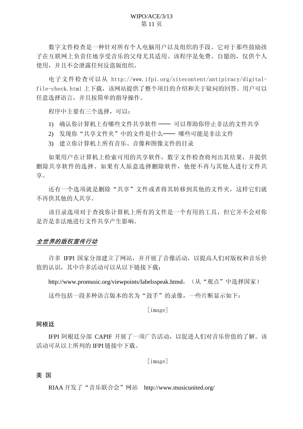数字文件检查是一种针对所有个人电脑用户以及组织的手段。它对于那些鼓励孩 子在互联网上负责任地享受音乐的父母尤其适用。该程序是免费、自愿的,仅供个人 使用,并且不会泄露任何反盗版组织。

电子文件检查可以从 http://www.ifpi.org/sitecontent/antipiracy/digitalfile-check.html 上下载, 该网站提供了整个项目的介绍和关于疑问的回答。用户可以 任意选择语言,并且按简单的指导操作。

程序中主要有三个洗择,可以:

- 1) 确认你计算机上有哪些文件共享软件 —— 可以帮助你停止非法的文件共享
- 2) 发现你"共享文件夹"中的文件是什么—— 哪些可能是非法文件
- 3) 建立你计算机上所有音乐、音像和图像文件的目录

如果用户在计算机上检索可用的共享软件, 数字文件检查将列出其结果, 并提供 删除共享软件的选择。如果有人原意选择删除软件,他便不再与其他人进行文件共 享。

还有一个选项就是删除"共享"文件或者将其转移到其他的文件夹,这样它们就 不再供其他的人共享。

该目录选项对于杳找你计算机上所有的文件是一个有用的工具, 但它并不会对你 是否是非法地讲行文件共享产生影响。

## 全世界的版权宣传行动

许多 IFPI 国家分部建立了网站, 并开展了音像活动, 以提高人们对版权和音乐价 值的认识, 其中许多活动可以从以下链接下载:

http://www.promusic.org/viewpoints/labelsspeak.htmd, (从"观点"中选择国家)

这些包括一段多种语言版本的名为"鼓手"的录像,一些片断显示如下:

 $[image]$ 

#### 阿根廷

IFPI 阿根廷分部 CAPIF 开展了一项广告活动, 以促进人们对音乐价值的了解。该 活动可从以上所列的 IFPI 链接中下载。

 $\lceil$ image $\rceil$ 

## 美国

RIAA 开发了"音乐联合会"网站 http://www.musicunited.org/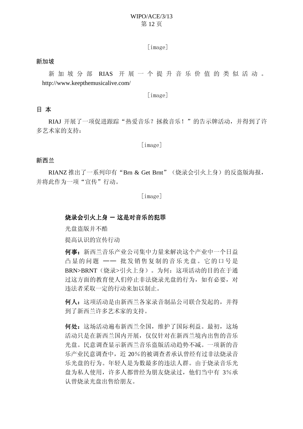# WIPO/ACE/3/13 第12页

 $\lceil$ image]

#### 新加坡

新加坡分部 RIAS 开展一个提升音乐价值的类似活动。 http://www.keepthemusicalive.com/

 $\lceil$ image $\rceil$ 

#### 日本

RIAJ 开展了一项促进跟踪"热爱音乐? 拯救音乐!"的告示牌活动, 并得到了许 多艺术家的支持:

 $\lceil$ image]

#### 新西兰

RIANZ 推出了一系列印有"Brn & Get Brnt" (烧录会引火上身) 的反盗版海报, 并将此作为一项"宣传"行动。

 $\lceil$ image]

#### 烧录会引火上身 一 这是对音乐的犯罪

光盘盗版并不酷

提高认识的宣传行动

何事: 新西兰音乐产业公司集中力量来解决这个产业中一个日益 凸显的问题 一一 批发销售复制的音乐光盘。它的口号是 BRN>BRNT (烧录>引火上身)。为何: 这项活动的目的在于通 过这方面的教育使人们停止非法烧录光盘的行为, 如有必要, 对 讳法者采取一定的行动来加以制止。

何人: 这项活动是由新西兰各家录音制品公司联合发起的, 并得 到了新西兰许多艺术家的支持。

何处: 这场活动遍布新西兰全国, 维护了国际利益。最初, 这场 活动只是在新西兰国内开展,仅仅针对在新西兰境内出售的音乐 光盘。民意调杳显示新西兰音乐盗版活动趋势不减。一项新的音 乐产业民意调查中,近 20%的被调查者承认曾经有过非法烧录音 乐光盘的行为。年轻人是为数最多的违法人群。由于烧录音乐光 盘为私人使用, 许多人都曾经为朋友烧录过, 他们当中有 3%承 认曾烧录光盘出售给朋友。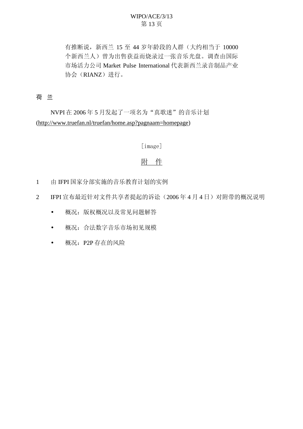# WIPO/ACE/3/13 第13页

有推断说, 新西兰 15 至 44 岁年龄段的人群(大约相当于 10000 个新西兰人)曾为出售获益而烧录过一张音乐光盘。调查由国际 市场活力公司 Market Pulse International 代表新西兰录音制品产业 协会(RIANZ)进行。

# 荷 兰

NVPI 在 2006年5月发起了一项名为"真歌迷"的音乐计划 (http://www.truefan.nl/truefan/home.asp?pagnaam=homepage)

# [image]

# 附 件

- 1 由 IFPI 国家分部实施的音乐教育计划的实例
- 2 IFPI 宣布最近针对文件共享者提起的诉讼 (2006年4月4日) 对附带的概况说明
	- 概况: 版权概况以及常见问题解答
	- 概况: 合法数字音乐市场初见规模
	- 概况: P2P 存在的风险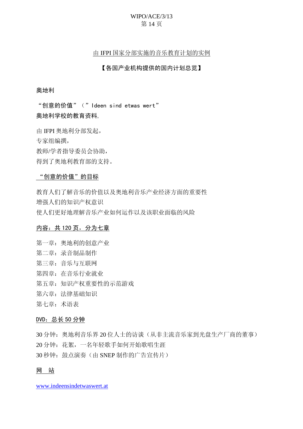# WIPO/ACE/3/13 第14页

#### 由 IFPI 国家分部实施的音乐教育计划的实例

#### 【各国产业机构提供的国内计划总览】

#### 奥地利

"创意的价值" (" Ideen sind etwas wert" 奥地利学校的教育资料,

由 IFPI 奥地利分部发起,

专家组编撰,

教师/学者指导委员会协助,

得到了奥地利教育部的支持。

# "创意的价值"的目标

教育人们了解音乐的价值以及奥地利音乐产业经济方面的重要性 增强人们的知识产权意识 使人们更好地理解音乐产业如何运作以及该职业面临的风险

#### 内容: 共 120 页, 分为七章

第一章: 奥地利的创意产业 第二章: 录音制品制作 第三章: 音乐与互联网 第四章: 在音乐行业就业 第五章: 知识产权重要性的示范游戏 第六章: 法律基础知识 第七章: 术语表

## DVD: 总长 50 分钟

30 分钟: 奧地利音乐界 20 位人士的访谈(从非主流音乐家到光盘生产厂商的董事) 20 分钟: 花絮, 一名年轻歌手如何开始歌唱生涯 30 秒钟: 鼓点演奏(由 SNEP 制作的广告宣传片)

# 网 站

[www.indeensindetwaswert.at](http://www.indeensindetwaswert.at/)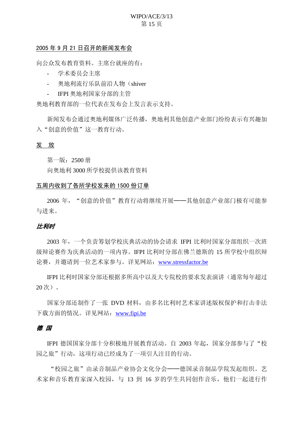# WIPO/ACE/3/13 第15页

#### 2005年9月21日召开的新闻发布会

向公众发布教育资料。主席台就座的有:

- 学术委员会主席
- 奧地利流行乐队前沿人物(shiver
- IFPI 奥地利国家分部的主管

奥地利教育部的一位代表在发布会上发言表示支持。

新闻发布会通过奥地利媒体广泛传播, 奥地利其他创意产业部门纷纷表示有兴趣加 入"创意的价值"这一教育行动。

#### 发 放

第一版:  $2500$  册

向奥地利 3000 所学校提供该教育资料

#### 五周内收到了各所学校发来的 1500 份订单

2006 年, "创意的价值"教育行动将继续开展——其他创意产业部门极有可能参 与讲来。

## **H.利时**

2003 年, 一个负责筹划学校庆典活动的协会请求 IFPI 比利时国家分部组织一次班 级辩论赛作为庆典活动的一项内容。IFPI 比利时分部在佛兰德斯的 15 所学校中组织辩 论赛, 并邀请到一位艺术家参与。详见网站: [www.stressfactor.be](http://www.stressfactor.be/)

IFPI 比利时国家分部还根据多所高中以及大专院校的要求发表演讲(通常每年超过  $20$ 次)。

国家分部还制作了一张 DVD 材料, 由多名比利时艺术家讲述版权保护和打击非法 下载方面的情况。详见网站: [www.fipi.be](http://www.fipi.be/)

#### 德 国

IFPI 德国国家分部十分积极地开展教育活动。自 2003 年起, 国家分部参与了"校 园之旅"行动,这项行动已经成为了一项引人注目的行动。

"校园之旅"由录音制品产业协会文化分会——德国录音制品学院发起组织。艺 术家和音乐教育家深入校园, 与 13 到 16 岁的学生共同创作音乐, 他们一起进行作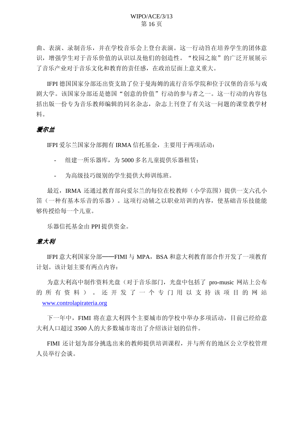## WIPO/ACE/3/13 第16页

曲、表演、录制音乐,并在学校音乐会上登台表演。这一行动旨在培养学生的团体意 识, 增强学生对于音乐价值的认识以及他们的创造性。"校园之旅"的广泛开展展示 了音乐产业对于音乐文化和教育的责任感, 在政治层面上意义重大。

IFPI 德国国家分部还出资支助了位于曼海姆的流行音乐学院和位于汉堡的音乐与戏 剧大学。该国家分部还是德国"创意的价值"行动的参与者之一。这一行动的内容包 括出版一份专为音乐教师编辑的同名杂志,杂志上刊登了有关这一问题的课堂教学材 料。

## 爱尔兰

IFPI 爱尔兰国家分部拥有 IRMA 信托基金, 主要用于两项活动:

- 组建一所乐器库, 为 5000 多名儿童提供乐器和赁:
- 为高级技巧级别的学生提供大师训练班。

最近, IRMA 还通过教育部向爱尔兰的每位在校教师(小学范围)提供一支六孔小 笛(一种有基本乐音的乐器)。这项行动辅之以职业培训的内容, 使基础音乐技能能 够传授给每一个儿童。

乐器信托基金由 PPI 提供资金。

## 意大利

IFPI 意大利国家分部——FIMI 与 MPA, BSA 和意大利教育部合作开发了一项教育 计划。该计划主要有两点内容:

为意大利高中制作资料光盘(对于音乐部门, 光盘中包括了 pro-music 网站上公布 的所有资料)。还开发了一个专门用以支持该项目的网站 [www.controlapirateria.org](http://www.controlapirateria.org/)

下一年中, FIMI 将在意大利四个主要城市的学校中举办多项活动, 目前已经给意 大利人口超过 3500 人的大多数城市寄出了介绍该计划的信件。

FIMI 还计划为部分挑选出来的教师提供培训课程,并与所有的地区公立学校管理 人员举行会谈。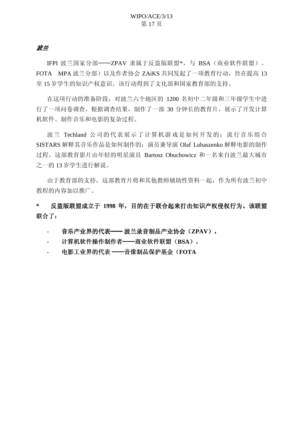# 波兰

IFPI 波兰国家分部——ZPAV 隶属于反盗版联盟\*, 与 BSA (商业软件联盟)、 FOTA MPA 波兰分部)以及作者协会 ZAiKS 共同发起了一项教育行动, 旨在提高 13 至 15 岁学生的知识产权意识。该行动得到了文化部和国家教育部的支持。

在这项行动的准备阶段, 对波兰六个地区的 1200 名初中二年级和三年级学生中进 行了一项问卷调杳。根据调查结果, 制作了一部 30 分钟长的教育片, 展示了开发计算 机软件、制作音乐和电影的复杂过程。

波兰 Techland 公司的代表展示了计算机游戏是如何开发的; 流行音乐组合 SISTARS 解释其音乐作品是如何制作的; 演员兼导演 Olaf Lubaszenko 解释电影的制作 过程。这部教育影片由年轻的明星演员 Bartosz Obuchowicz 和一名来自波兰最大城市 之一的13 岁学生进行解说。

由于教育部的支持, 这部教育片将和其他教师辅助性资料一起, 作为所有波兰初中 教程的内容加以推广。

\* 反盗版联盟成立于 1998 年, 目的在于联合起来打击知识产权侵权行为。该联盟 联合了:

音乐产业界的代表—— 波兰录音制品产业协会 (ZPAV),

- 计算机软件操作制作者——商业软件联盟(BSA),
- 电影工业界的代表 ——音像制品保护基金 (FOTA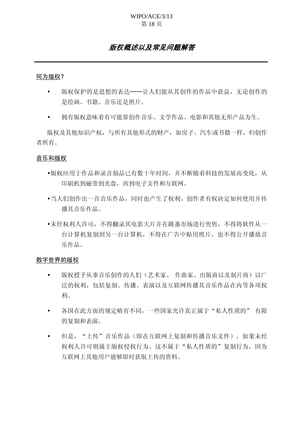## WIPO/ACE/3/13 第18页

# 版权概述以及常见问题解答

#### 何为版权?

- 版权保护的是思想的表达——让人们能从其创作的作品中获益,无论创作的 是绘画、书籍、音乐还是照片。
- 拥有版权意味着有可能靠创作音乐、文学作品、电影和其他无形产品为生。

版权及其他知识产权, 与所有其他形式的财产, 如房子、汽车或书籍一样, 归创作 者所有。

#### 音乐和版权

- 版权应用于作品和录音制品已有数十年时间, 并不断随着科技的发展而变化, 从 印刷机到磁带到光盘,再到电子文件和互联网。
- •当人们创作出一首音乐作品,同时也产生了权利,创作者有权决定如何使用并传 播其音乐作品。
- 未经权利人许可, 不得翻录其电影大片并在跳蚤市场进行兜售, 不得将软件从一 台计算机另一台计算机,不得在广告中贴用照片,也不得公开播放音 乐作品。

#### 数字世界的版权

- 版权授予从事音乐创作的人们(艺术家、作曲家、出版商以及制片商)以广 泛的权利, 包括复制、传播、表演以及互联网传播其音乐作品在内等各项权 利。
- 各国在此方面的规定略有不同, 一些国家允许真正属于"私人性质的" 有限 的复制和表演。
- 但是, "上传"音乐作品(即在互联网上复制和传播音乐文件), 如果未经 权利人许可则属于版权侵权行为。这不属于"私人性质的"复制行为,因为 互联网上其他用户能够即时获取上传的资料。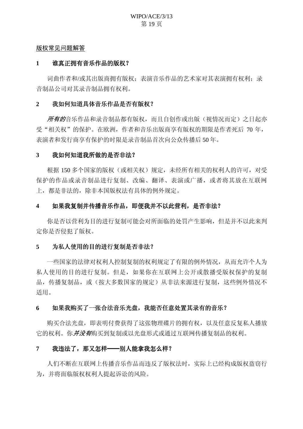#### 版权常见问题解答

## 1 谁真正拥有音乐作品的版权?

词曲作者和/或其出版商拥有版权: 表演音乐作品的艺术家对其表演拥有权利: 录 音制品公司对其录音制品拥有权利。

## 2 我如何知道具体音乐作品是否有版权?

所有的音乐作品和录音制品都有版权,而且自创作或出版(视情况而定)之日起亦 受"相关权"的保护。在欧洲,作者和音乐出版商享有版权的期限是作者死后 70 年, 表演者和发行商享有保护的时限是录音制品首次向公众传播后50年。

## 3 我如何知道我所做的是否非法?

根据 150 多个国家的版权(或相关权)规定,未经所有相关的权利人的许可,对受 保护的作品或录音制品进行复制、改编、翻译、表演或广播, 或者将其放在互联网 上,都是非法的,除非本国版权法有具体的例外规定。

# 4 如果我复制并传播音乐作品, 即便我并不以此营利, 是否非法?

你是否以营利为目的进行复制可能会对所面临的处罚产生影响, 但是并不以此来判 定你是否侵犯了版权。

## 5 为私人使用的目的进行复制是否非法?

一些国家的法律对权利人控制复制的权利规定了有限的例外情况,从而允许个人为 私人使用的目的进行复制。但是,如果你在互联网上公开或散播受版权保护的复制 品, 传播复制品, 或(按大多数国家的规定)从非法来源进行复制, 这些例外情况不 适用。

## 6 如果我购买了一张合法音乐光盘, 我能否任意处置其录有的音乐?

购买合法光盘, 即表明付费获得了这张物理碟片的拥有权, 以及任意反复私人播放 它的权利。你*并没有*购买到复制或以光盘形式或通过互联网传播复制品的权利。

## 7 我违法了,那又怎样——别人能拿我怎么样?

人们不断在互联网上传播音乐作品而违反了版权法时, 实际上已经构成版权盗窃行 为,并将面临版权权利人提起诉讼的风险。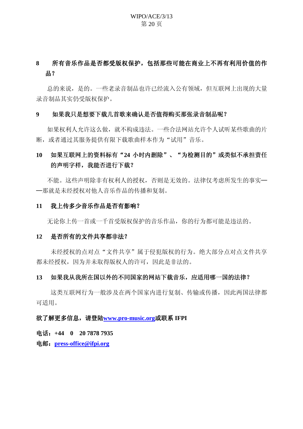# WIPO/ACE/3/13 第20页

# 8 所有音乐作品是否都受版权保护,包括那些可能在商业上不再有利用价值的作  $H<sub>1</sub>$

总的来说,是的。一些老录音制品也许已经流入公有领域,但互联网上出现的大量 录音制品其实仍受版权保护。

### 9 如果我只是想要下载几首歌来确认是否值得购买那张录音制品呢?

如果权利人允许这么做, 就不构成违法。一些合法网站允许个人试听某些歌曲的片 断, 或者通过其服务提供有限下载歌曲样本作为"试用"音乐。

# 10 如果互联网上的资料标有"24 小时内删除"、"为检测目的"或类似不承担责任 的声明字样,我能否进行下载?

不能。这些声明除非有权利人的授权,否则是无效的。法律仅考虑所发生的事实一 一那就是未经授权对他人音乐作品的传播和复制。

#### 11 我上传多少音乐作品是否有影响?

无论你上传一首或一千首受版权保护的音乐作品, 你的行为都可能是违法的。

#### 12 是否所有的文件共享都非法?

未经授权的点对点"文件共享"属于侵犯版权的行为。绝大部分点对点文件共享 都未经授权,因为并未取得版权人的许可,因此是非法的。

#### 13 如果我从我所在国以外的不同国家的网站下载音乐,应适用哪一国的法律?

这类互联网行为一般涉及在两个国家内进行复制、传输或传播,因此两国法律都 可适用。

#### 欲了解更多信息, 请登陆[www.pro-music.org](http://www.pro-music.org/)或联系 IFPI

⬉䆱˖**+44 0 20 7878 7935**

⬉䚂˖**[press-office@ifpi.org](mailto:press-office@ifpi.org)**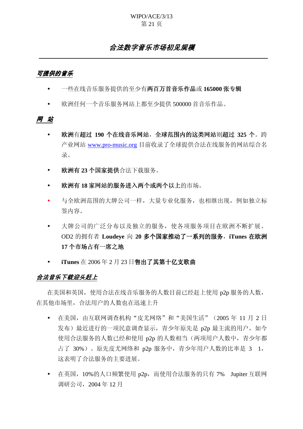## WIPO/ACE/3/13 第21页

# 合法数字音乐市场初见规模

# 可提供的音乐

- 一些在线音乐服务提供的至少有**两百万首音乐作品或 165000 张专辑**
- 欧洲任何一个音乐服务网站上都至少提供 500000 首音乐作品。

#### 网 站

- 欧洲有超过 190 个在线音乐网站, 全球范围内的这类网站则超过 325 个。跨 产业网站 [www.pro-music.org](http://www.pro-music.org/) 目前收录了全球提供合法在线服务的网站综合名 录。
- 欧洲有23个国家提供合法下载服务。
- 欧洲有18 家网站的服务进入两个或两个以上的市场。
- 与全欧洲范围的大牌公司一样,大量专业化服务,也相继出现,例如独立标 签内容。
- 大牌公司的广泛分布以及独立的服务, 使各项服务项目在欧洲不断扩展。 OD2 的拥有者 Loudeye 向 20 多个国家推动了一系列的服务, iTunes 在欧洲 17 个市场占有一席之地
- **iTunes** 在 2006年 2 月 23 日**售出了其第十亿支歌曲**

## 合法音乐下载迎头赶上

在美国和英国, 使用合法在线音乐服务的人数目前已经赶上使用 p2p 服务的人数, 在其他市场里, 合法用户的人数也在迅速上升

- 在美国, 由互联网调查机构"皮尤网络"和"美国生活" (2005年11月2日 发布)最近进行的一项民意调查显示,青少年原先是 p2p 最主流的用户, 如今 使用合法服务的人数已经和使用 p2p 的人数相当(两项用户人数中, 青少年都 占了 30%)。原先皮尤网络和 p2p 服务中, 青少年用户人数的比率是 3 1, 这表明了合法服务的主要讲展。
- 在英国, 10%的人口频繁使用 p2p, 而使用合法服务的只有 7% Jupiter 互联网 调研公司, 2004年12月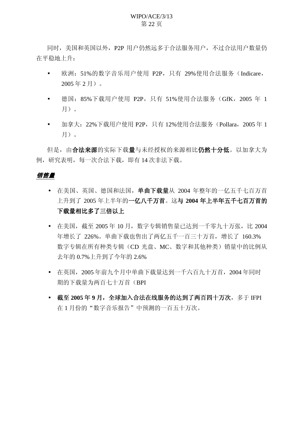## WIPO/ACE/3/13 第22页

同时, 美国和英国以外, P2P 用户仍然远多于合法服务用户, 不过合法用户数量仍 在平稳地上升:

- 欧洲: 51%的数字音乐用户使用 P2P, 只有 29%使用合法服务 (Indicare,  $2005 \n *42 月 o o 1 o o 1 o o 1 o o 1 o o 1 o o 1 o o 1 o o 1 o o 1 o* <$
- 德国: 85%下载用户使用 P2P, 只有 51%使用合法服务 (GfK, 2005 年 1 月)。
- 加拿大: 22%下载用户使用 P2P, 只有 12%使用合法服务 (Pollara, 2005年1 月)。

但是, 由合法来源的实际下载量与未经授权的来源相比仍然十分低。以加拿大为 例,研究表明,每一次合法下载,即有14次非法下载。

# 销售量

- 在美国、英国、德国和法国, 单曲下载量从 2004 年整年的一亿五千七百万首 上升到了2005年上半年的一亿八千万首。这与2004年上半年五千七百万首的 下载量相比多了三倍以上
- 在美国, 截至 2005年10月, 数字专辑销售量已达到一千零九十万张, 比 2004 年增长了 226%。单曲下载也售出了两亿五千一百三十万首, 增长了 160.3% 数字专辑在所有种类专辑(CD 光盘、MC、数字和其他种类)销量中的比例从 夫年的 0.7% 上升到了今年的 2.6%
- 在英国, 2005年前九个月中单曲下载量达到一千六百九十万首, 2004年同时 期的下载量为两百七十万首(BPI
- 截至2005年9月, 全球加入合法在线服务的达到了两百四十万次, 多于 IFPI 在1月份的"数字音乐报告"中预测的一百五十万次。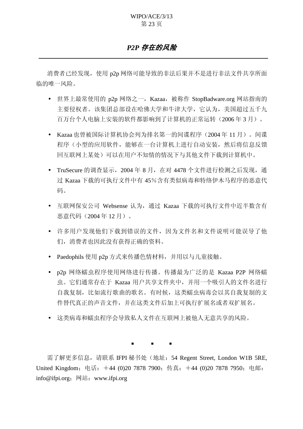# *P2P 存在的风险*

消费者已经发现, 使用 p2p 网络可能导致的非法后果并不是进行非法文件共享所面 临的唯一风险。

- 世界上最常使用的 p2p 网络之一,Kazaa,被称作 StopBadware.org 网站指南的 主要侵权者。该集团总部设在哈佛大学和牛津大学, 它认为, 美国超过五千九 百万台个人电脑上安装的软件都影响到了计算机的正常运转(2006年3月)。
- Kazaa也曾被国际计算机协会列为排名第一的间谍程序 (2004年11月)。间谍 程序(小型的应用软件,能够在一台计算机上进行自动安装,然后将信息反馈 回互联网上某处)可以在用户不知情的情况下与其他文件下载到计算机中。
- TruSecure 的调查显示, 2004 年 8 月, 在对 4478 个文件进行检测之后发现, 通 过 Kazaa 下载的可执行文件中有 45%含有类似病毒和特络伊木马程序的恶意代 码。
- 互联网保安公司 Websense 认为, 通过 Kazaa 下载的可执行文件中近半数含有 恶意代码 (2004年12月)。
- 许多用户发现他们下载到错误的文件,因为文件名和文件说明可能误导了他 们,消费者也因此没有获得正确的资料。
- Paedophils 使用 p2p 方式来传播色情材料, 并用以与儿童接触。
- p2p 网络蠕虫程序使用网络进行传播。传播最为广泛的是 Kazaa P2P 网络蠕 虫。它们通常存在于 Kazaa 用户共享文件夹中, 并用一个吸引人的文件名讲行 自我复制,比如流行歌曲的歌名。有时候,这类蠕虫病毒会以其自我复制的文 件替代真正的声音文件,并在这类文件后加上可执行扩展名或者双扩展名。
- 这类病毒和蠕虫程序会导致私人文件在互联网上被他人无意共享的风险。

 $\blacksquare$ 

需了解更多信息, 请联系 IFPI 秘书处 (地址: 54 Regent Street, London W1B 5RE, United Kingdom; 电话: +44 (0)20 7878 7900; 传真: +44 (0)20 7878 7950; 电邮: info@ifpi.org; 网站: www.ifpi.org